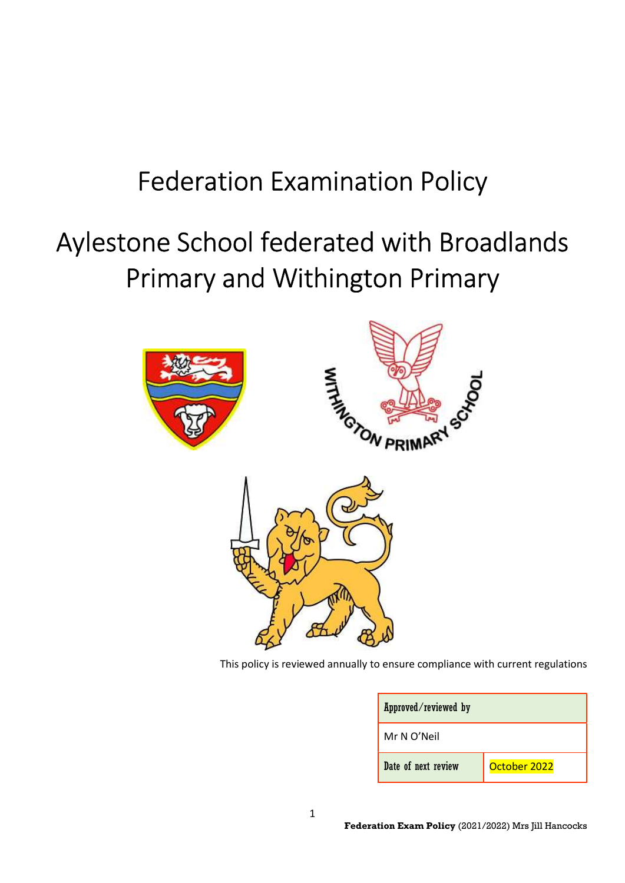# Federation Examination Policy

# Aylestone School federated with Broadlands Primary and Withington Primary



This policy is reviewed annually to ensure compliance with current regulations

|  | Approved/reviewed by<br>Mr N O'Neil |              |
|--|-------------------------------------|--------------|
|  |                                     |              |
|  | Date of next review                 | October 2022 |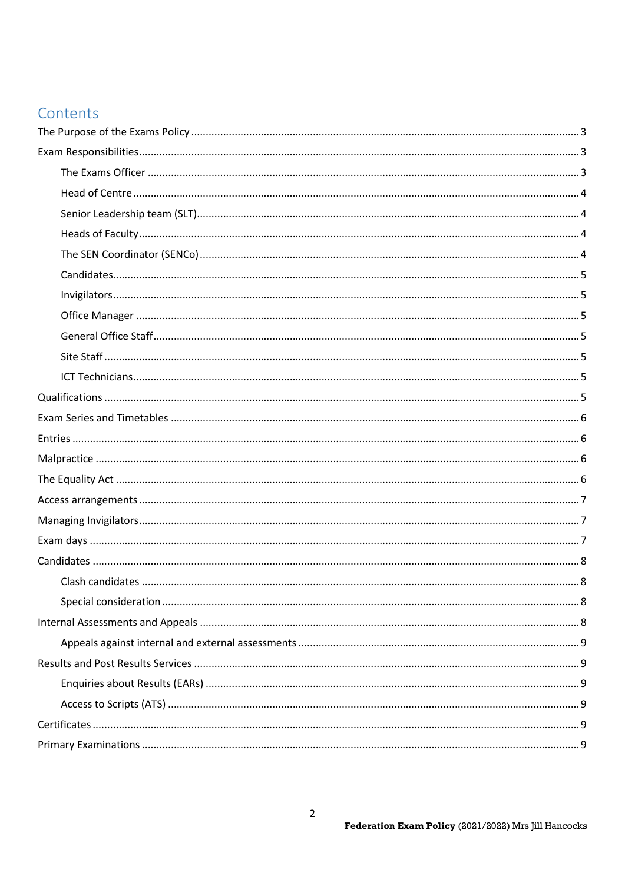# Contents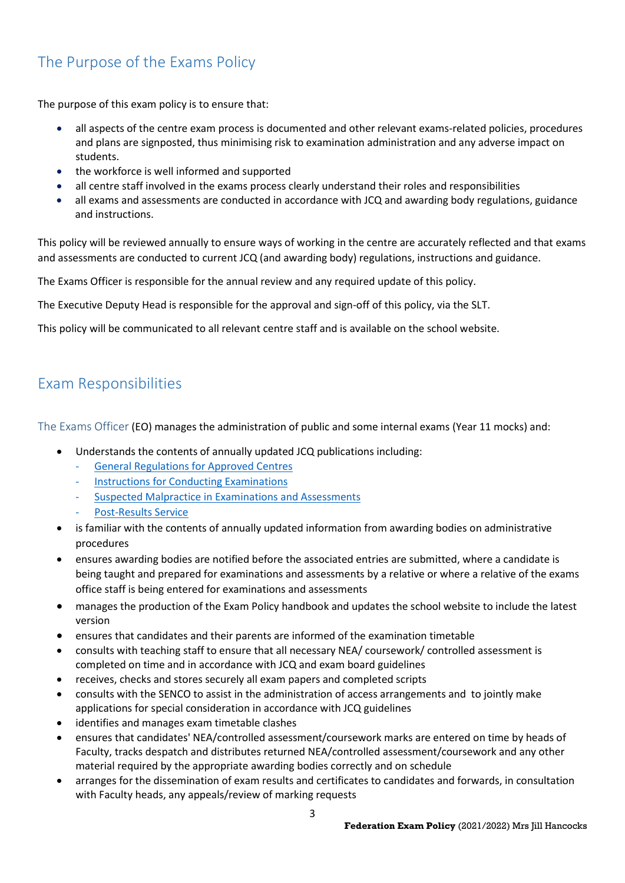# The Purpose of the Exams Policy

The purpose of this exam policy is to ensure that:

- all aspects of the centre exam process is documented and other relevant exams-related policies, procedures and plans are signposted, thus minimising risk to examination administration and any adverse impact on students.
- the workforce is well informed and supported
- all centre staff involved in the exams process clearly understand their roles and responsibilities
- all exams and assessments are conducted in accordance with JCQ and awarding body regulations, guidance and instructions.

This policy will be reviewed annually to ensure ways of working in the centre are accurately reflected and that exams and assessments are conducted to current JCQ (and awarding body) regulations, instructions and guidance.

The Exams Officer is responsible for the annual review and any required update of this policy.

The Executive Deputy Head is responsible for the approval and sign-off of this policy, via the SLT.

This policy will be communicated to all relevant centre staff and is available on the school website.

# Exam Responsibilities

The Exams Officer (EO) manages the administration of public and some internal exams (Year 11 mocks) and:

- Understands the contents of annually updated JCQ publications including:
	- General Regulations for Approved Centres
	- Instructions for Conducting Examinations
	- Suspected Malpractice in Examinations and Assessments
	- Post-Results Service
- is familiar with the contents of annually updated information from awarding bodies on administrative procedures
- ensures awarding bodies are notified before the associated entries are submitted, where a candidate is being taught and prepared for examinations and assessments by a relative or where a relative of the exams office staff is being entered for examinations and assessments
- manages the production of the Exam Policy handbook and updates the school website to include the latest version
- ensures that candidates and their parents are informed of the examination timetable
- consults with teaching staff to ensure that all necessary NEA/ coursework/ controlled assessment is completed on time and in accordance with JCQ and exam board guidelines
- receives, checks and stores securely all exam papers and completed scripts
- consults with the SENCO to assist in the administration of access arrangements and to jointly make applications for special consideration in accordance with JCQ guidelines
- identifies and manages exam timetable clashes
- ensures that candidates' NEA/controlled assessment/coursework marks are entered on time by heads of Faculty, tracks despatch and distributes returned NEA/controlled assessment/coursework and any other material required by the appropriate awarding bodies correctly and on schedule
- arranges for the dissemination of exam results and certificates to candidates and forwards, in consultation with Faculty heads, any appeals/review of marking requests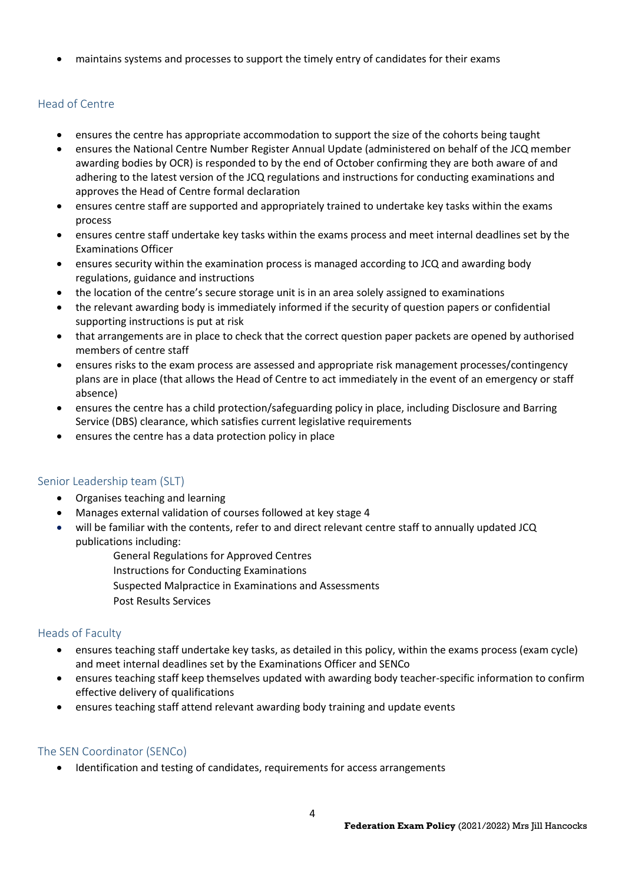maintains systems and processes to support the timely entry of candidates for their exams

## Head of Centre

- ensures the centre has appropriate accommodation to support the size of the cohorts being taught
- ensures the National Centre Number Register Annual Update (administered on behalf of the JCQ member awarding bodies by OCR) is responded to by the end of October confirming they are both aware of and adhering to the latest version of the JCQ regulations and instructions for conducting examinations and approves the Head of Centre formal declaration
- ensures centre staff are supported and appropriately trained to undertake key tasks within the exams process
- ensures centre staff undertake key tasks within the exams process and meet internal deadlines set by the Examinations Officer
- ensures security within the examination process is managed according to JCQ and awarding body regulations, guidance and instructions
- the location of the centre's secure storage unit is in an area solely assigned to examinations
- the relevant awarding body is immediately informed if the security of question papers or confidential supporting instructions is put at risk
- that arrangements are in place to check that the correct question paper packets are opened by authorised members of centre staff
- ensures risks to the exam process are assessed and appropriate risk management processes/contingency plans are in place (that allows the Head of Centre to act immediately in the event of an emergency or staff absence)
- ensures the centre has a child protection/safeguarding policy in place, including Disclosure and Barring Service (DBS) clearance, which satisfies current legislative requirements
- ensures the centre has a data protection policy in place

## Senior Leadership team (SLT)

- Organises teaching and learning
- Manages external validation of courses followed at key stage 4
- will be familiar with the contents, refer to and direct relevant centre staff to annually updated JCQ publications including:
	- General Regulations for Approved Centres
	- Instructions for Conducting Examinations
	- Suspected Malpractice in Examinations and Assessments
	- Post Results Services

## Heads of Faculty

- ensures teaching staff undertake key tasks, as detailed in this policy, within the exams process (exam cycle) and meet internal deadlines set by the Examinations Officer and SENCo
- ensures teaching staff keep themselves updated with awarding body teacher-specific information to confirm effective delivery of qualifications
- ensures teaching staff attend relevant awarding body training and update events

#### The SEN Coordinator (SENCo)

Identification and testing of candidates, requirements for access arrangements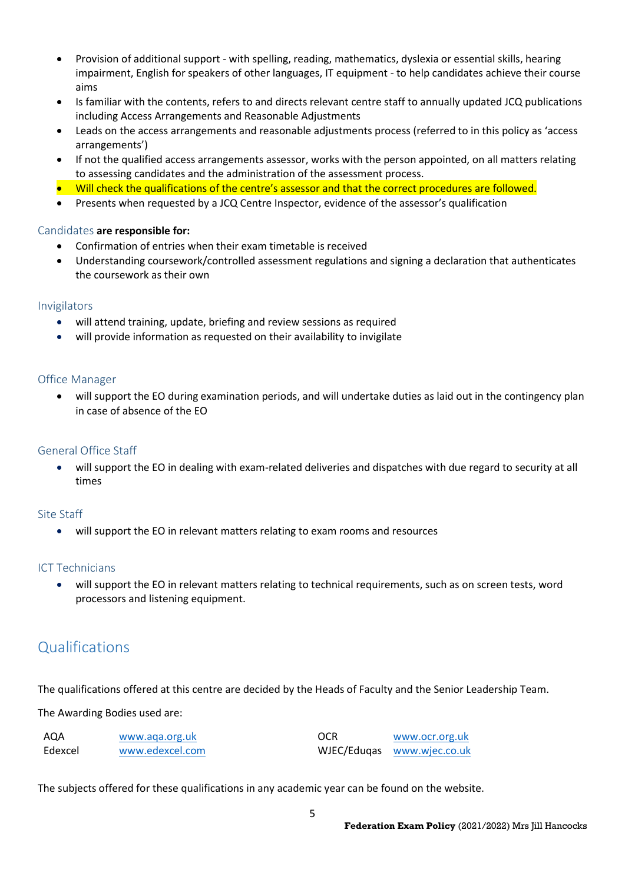- Provision of additional support with spelling, reading, mathematics, dyslexia or essential skills, hearing impairment, English for speakers of other languages, IT equipment - to help candidates achieve their course aims
- Is familiar with the contents, refers to and directs relevant centre staff to annually updated JCQ publications including Access Arrangements and Reasonable Adjustments
- Leads on the access arrangements and reasonable adjustments process (referred to in this policy as 'access arrangements')
- If not the qualified access arrangements assessor, works with the person appointed, on all matters relating to assessing candidates and the administration of the assessment process.
- Will check the qualifications of the centre's assessor and that the correct procedures are followed.
- Presents when requested by a JCQ Centre Inspector, evidence of the assessor's qualification

#### Candidates are responsible for:

- Confirmation of entries when their exam timetable is received
- Understanding coursework/controlled assessment regulations and signing a declaration that authenticates the coursework as their own

#### Invigilators

- will attend training, update, briefing and review sessions as required
- will provide information as requested on their availability to invigilate

## Office Manager

 will support the EO during examination periods, and will undertake duties as laid out in the contingency plan in case of absence of the EO

## General Office Staff

 will support the EO in dealing with exam-related deliveries and dispatches with due regard to security at all times

#### Site Staff

will support the EO in relevant matters relating to exam rooms and resources

#### ICT Technicians

 will support the EO in relevant matters relating to technical requirements, such as on screen tests, word processors and listening equipment.

## Qualifications

The qualifications offered at this centre are decided by the Heads of Faculty and the Senior Leadership Team.

The Awarding Bodies used are:

| AQA     | www.aga.org.uk  | <b>OCR</b> | www.ocr.org.uk             |
|---------|-----------------|------------|----------------------------|
| Edexcel | www.edexcel.com |            | WJEC/Eduqas www.wjec.co.uk |

The subjects offered for these qualifications in any academic year can be found on the website.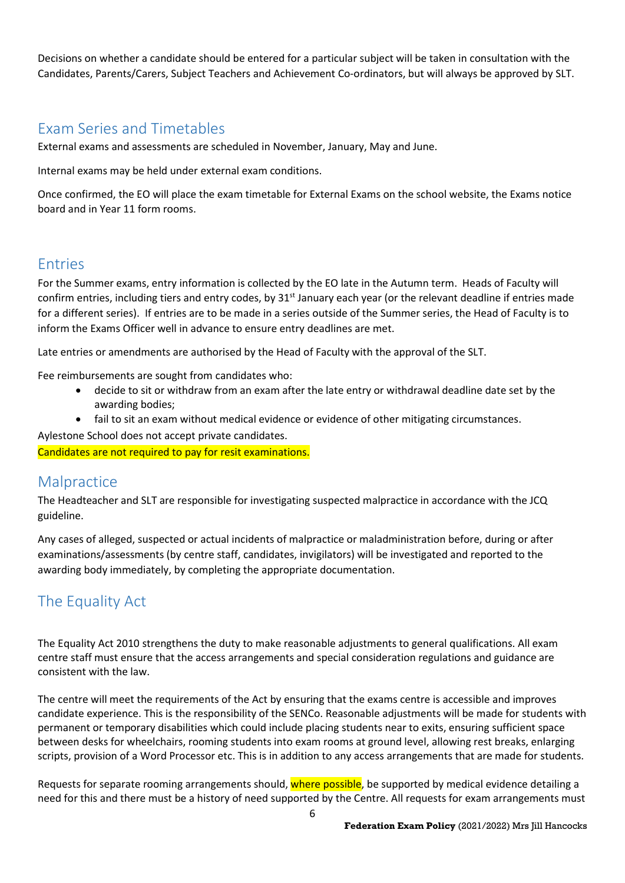Decisions on whether a candidate should be entered for a particular subject will be taken in consultation with the Candidates, Parents/Carers, Subject Teachers and Achievement Co-ordinators, but will always be approved by SLT.

## Exam Series and Timetables

External exams and assessments are scheduled in November, January, May and June.

Internal exams may be held under external exam conditions.

Once confirmed, the EO will place the exam timetable for External Exams on the school website, the Exams notice board and in Year 11 form rooms.

## Entries

For the Summer exams, entry information is collected by the EO late in the Autumn term. Heads of Faculty will confirm entries, including tiers and entry codes, by 31<sup>st</sup> January each year (or the relevant deadline if entries made for a different series). If entries are to be made in a series outside of the Summer series, the Head of Faculty is to inform the Exams Officer well in advance to ensure entry deadlines are met.

Late entries or amendments are authorised by the Head of Faculty with the approval of the SLT.

Fee reimbursements are sought from candidates who:

- decide to sit or withdraw from an exam after the late entry or withdrawal deadline date set by the awarding bodies;
- fail to sit an exam without medical evidence or evidence of other mitigating circumstances.

Aylestone School does not accept private candidates.

Candidates are not required to pay for resit examinations.

## **Malpractice**

The Headteacher and SLT are responsible for investigating suspected malpractice in accordance with the JCQ guideline.

Any cases of alleged, suspected or actual incidents of malpractice or maladministration before, during or after examinations/assessments (by centre staff, candidates, invigilators) will be investigated and reported to the awarding body immediately, by completing the appropriate documentation.

# The Equality Act

The Equality Act 2010 strengthens the duty to make reasonable adjustments to general qualifications. All exam centre staff must ensure that the access arrangements and special consideration regulations and guidance are consistent with the law.

The centre will meet the requirements of the Act by ensuring that the exams centre is accessible and improves candidate experience. This is the responsibility of the SENCo. Reasonable adjustments will be made for students with permanent or temporary disabilities which could include placing students near to exits, ensuring sufficient space between desks for wheelchairs, rooming students into exam rooms at ground level, allowing rest breaks, enlarging scripts, provision of a Word Processor etc. This is in addition to any access arrangements that are made for students.

Requests for separate rooming arrangements should, where possible, be supported by medical evidence detailing a need for this and there must be a history of need supported by the Centre. All requests for exam arrangements must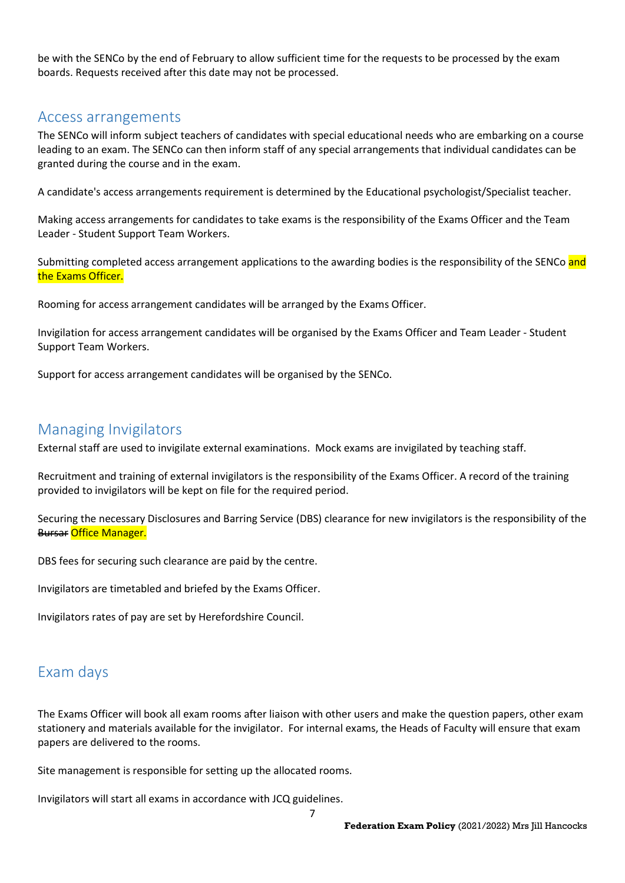be with the SENCo by the end of February to allow sufficient time for the requests to be processed by the exam boards. Requests received after this date may not be processed.

## Access arrangements

The SENCo will inform subject teachers of candidates with special educational needs who are embarking on a course leading to an exam. The SENCo can then inform staff of any special arrangements that individual candidates can be granted during the course and in the exam.

A candidate's access arrangements requirement is determined by the Educational psychologist/Specialist teacher.

Making access arrangements for candidates to take exams is the responsibility of the Exams Officer and the Team Leader - Student Support Team Workers.

Submitting completed access arrangement applications to the awarding bodies is the responsibility of the SENCo and the Exams Officer.

Rooming for access arrangement candidates will be arranged by the Exams Officer.

Invigilation for access arrangement candidates will be organised by the Exams Officer and Team Leader - Student Support Team Workers.

Support for access arrangement candidates will be organised by the SENCo.

## Managing Invigilators

External staff are used to invigilate external examinations. Mock exams are invigilated by teaching staff.

Recruitment and training of external invigilators is the responsibility of the Exams Officer. A record of the training provided to invigilators will be kept on file for the required period.

Securing the necessary Disclosures and Barring Service (DBS) clearance for new invigilators is the responsibility of the Bursar Office Manager.

DBS fees for securing such clearance are paid by the centre.

Invigilators are timetabled and briefed by the Exams Officer.

Invigilators rates of pay are set by Herefordshire Council.

## Exam days

The Exams Officer will book all exam rooms after liaison with other users and make the question papers, other exam stationery and materials available for the invigilator. For internal exams, the Heads of Faculty will ensure that exam papers are delivered to the rooms.

Site management is responsible for setting up the allocated rooms.

Invigilators will start all exams in accordance with JCQ guidelines.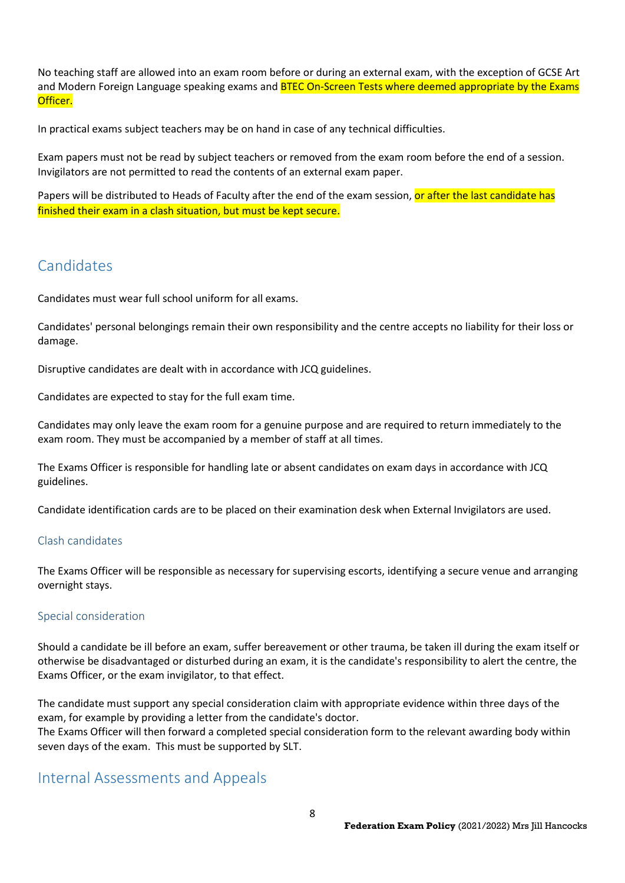No teaching staff are allowed into an exam room before or during an external exam, with the exception of GCSE Art and Modern Foreign Language speaking exams and **BTEC On-Screen Tests where deemed appropriate by the Exams** Officer.

In practical exams subject teachers may be on hand in case of any technical difficulties.

Exam papers must not be read by subject teachers or removed from the exam room before the end of a session. Invigilators are not permitted to read the contents of an external exam paper.

Papers will be distributed to Heads of Faculty after the end of the exam session, or after the last candidate has finished their exam in a clash situation, but must be kept secure.

## **Candidates**

Candidates must wear full school uniform for all exams.

Candidates' personal belongings remain their own responsibility and the centre accepts no liability for their loss or damage.

Disruptive candidates are dealt with in accordance with JCQ guidelines.

Candidates are expected to stay for the full exam time.

Candidates may only leave the exam room for a genuine purpose and are required to return immediately to the exam room. They must be accompanied by a member of staff at all times.

The Exams Officer is responsible for handling late or absent candidates on exam days in accordance with JCQ guidelines.

Candidate identification cards are to be placed on their examination desk when External Invigilators are used.

## Clash candidates

The Exams Officer will be responsible as necessary for supervising escorts, identifying a secure venue and arranging overnight stays.

#### Special consideration

Should a candidate be ill before an exam, suffer bereavement or other trauma, be taken ill during the exam itself or otherwise be disadvantaged or disturbed during an exam, it is the candidate's responsibility to alert the centre, the Exams Officer, or the exam invigilator, to that effect.

The candidate must support any special consideration claim with appropriate evidence within three days of the exam, for example by providing a letter from the candidate's doctor.

The Exams Officer will then forward a completed special consideration form to the relevant awarding body within seven days of the exam. This must be supported by SLT.

## Internal Assessments and Appeals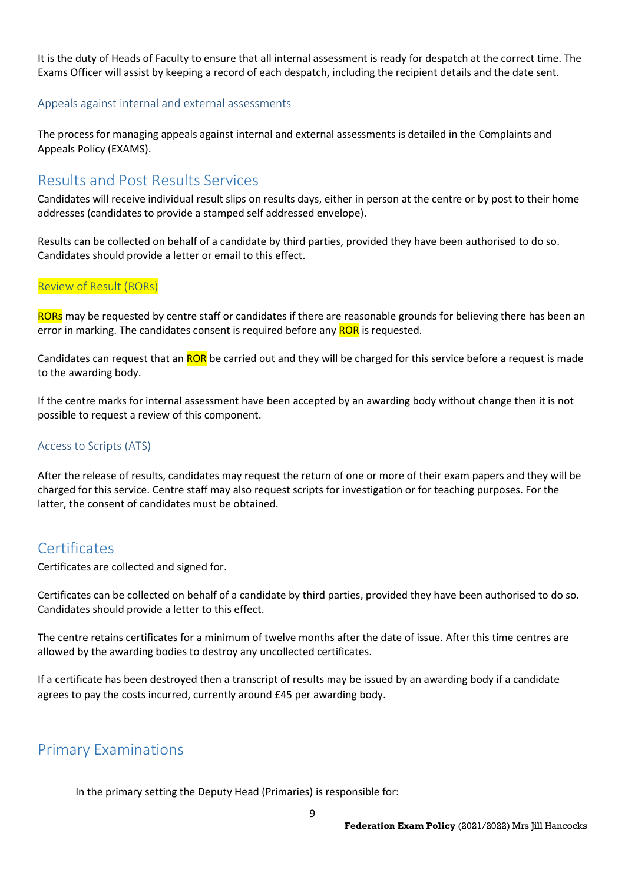It is the duty of Heads of Faculty to ensure that all internal assessment is ready for despatch at the correct time. The Exams Officer will assist by keeping a record of each despatch, including the recipient details and the date sent.

#### Appeals against internal and external assessments

The process for managing appeals against internal and external assessments is detailed in the Complaints and Appeals Policy (EXAMS).

## Results and Post Results Services

Candidates will receive individual result slips on results days, either in person at the centre or by post to their home addresses (candidates to provide a stamped self addressed envelope).

Results can be collected on behalf of a candidate by third parties, provided they have been authorised to do so. Candidates should provide a letter or email to this effect.

#### Review of Result (RORs)

RORs may be requested by centre staff or candidates if there are reasonable grounds for believing there has been an error in marking. The candidates consent is required before any **ROR** is requested.

Candidates can request that an ROR be carried out and they will be charged for this service before a request is made to the awarding body.

If the centre marks for internal assessment have been accepted by an awarding body without change then it is not possible to request a review of this component.

#### Access to Scripts (ATS)

After the release of results, candidates may request the return of one or more of their exam papers and they will be charged for this service. Centre staff may also request scripts for investigation or for teaching purposes. For the latter, the consent of candidates must be obtained.

## **Certificates**

Certificates are collected and signed for.

Certificates can be collected on behalf of a candidate by third parties, provided they have been authorised to do so. Candidates should provide a letter to this effect.

The centre retains certificates for a minimum of twelve months after the date of issue. After this time centres are allowed by the awarding bodies to destroy any uncollected certificates.

If a certificate has been destroyed then a transcript of results may be issued by an awarding body if a candidate agrees to pay the costs incurred, currently around £45 per awarding body.

## Primary Examinations

In the primary setting the Deputy Head (Primaries) is responsible for: